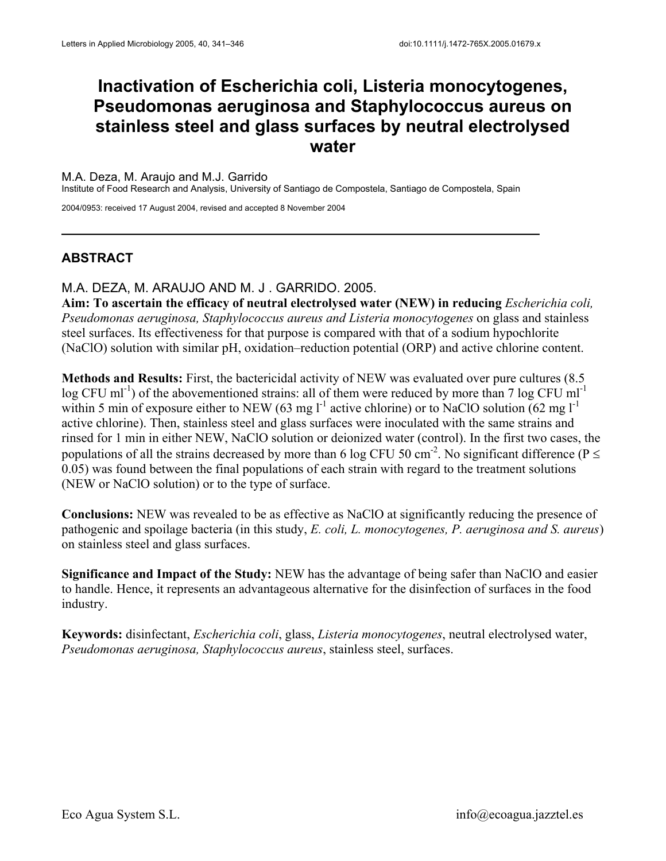# **Inactivation of Escherichia coli, Listeria monocytogenes, Pseudomonas aeruginosa and Staphylococcus aureus on stainless steel and glass surfaces by neutral electrolysed water**

### M.A. Deza, M. Araujo and M.J. Garrido

Institute of Food Research and Analysis, University of Santiago de Compostela, Santiago de Compostela, Spain

2004/0953: received 17 August 2004, revised and accepted 8 November 2004

## **ABSTRACT**

## M.A. DEZA, M. ARAUJO AND M. J . GARRIDO. 2005.

**Aim: To ascertain the efficacy of neutral electrolysed water (NEW) in reducing** *Escherichia coli, Pseudomonas aeruginosa, Staphylococcus aureus and Listeria monocytogenes* on glass and stainless steel surfaces. Its effectiveness for that purpose is compared with that of a sodium hypochlorite (NaClO) solution with similar pH, oxidation–reduction potential (ORP) and active chlorine content.

**Methods and Results:** First, the bactericidal activity of NEW was evaluated over pure cultures (8.5  $\log$  CFU ml<sup>-1</sup>) of the abovementioned strains: all of them were reduced by more than 7 log CFU ml<sup>-1</sup> within 5 min of exposure either to NEW (63 mg  $l^{-1}$  active chlorine) or to NaClO solution (62 mg  $l^{-1}$ active chlorine). Then, stainless steel and glass surfaces were inoculated with the same strains and rinsed for 1 min in either NEW, NaClO solution or deionized water (control). In the first two cases, the populations of all the strains decreased by more than 6 log CFU 50 cm<sup>-2</sup>. No significant difference ( $P \le$ 0.05) was found between the final populations of each strain with regard to the treatment solutions (NEW or NaClO solution) or to the type of surface.

**Conclusions:** NEW was revealed to be as effective as NaClO at significantly reducing the presence of pathogenic and spoilage bacteria (in this study, *E. coli, L. monocytogenes, P. aeruginosa and S. aureus*) on stainless steel and glass surfaces.

**Significance and Impact of the Study:** NEW has the advantage of being safer than NaClO and easier to handle. Hence, it represents an advantageous alternative for the disinfection of surfaces in the food industry.

**Keywords:** disinfectant, *Escherichia coli*, glass, *Listeria monocytogenes*, neutral electrolysed water, *Pseudomonas aeruginosa, Staphylococcus aureus*, stainless steel, surfaces.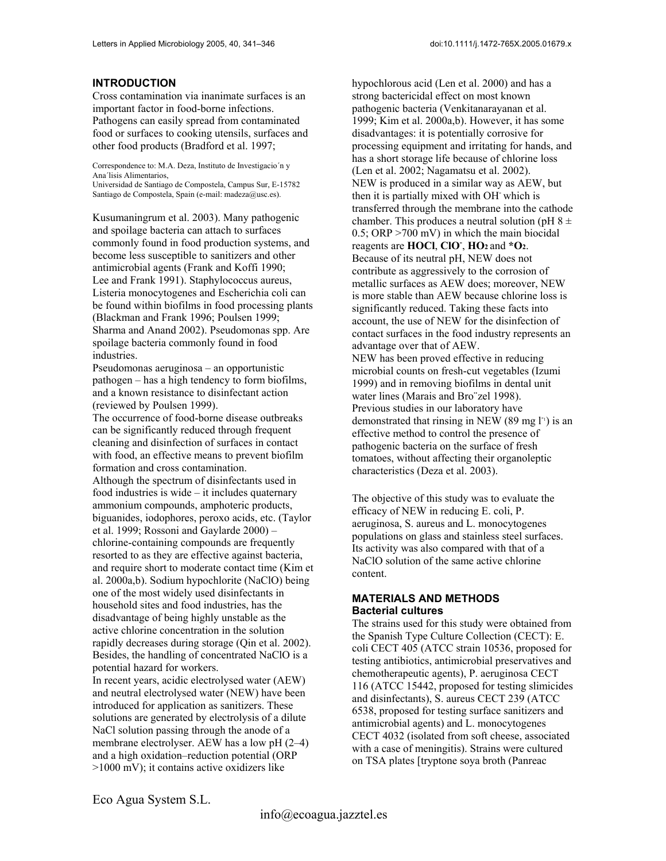#### **INTRODUCTION**

Cross contamination via inanimate surfaces is an important factor in food-borne infections. Pathogens can easily spread from contaminated food or surfaces to cooking utensils, surfaces and other food products (Bradford et al. 1997;

Correspondence to: M.A. Deza, Instituto de Investigacio´n y Ana´lisis Alimentarios,

Universidad de Santiago de Compostela, Campus Sur, E-15782 Santiago de Compostela, Spain (e-mail: madeza@usc.es).

Kusumaningrum et al. 2003). Many pathogenic and spoilage bacteria can attach to surfaces commonly found in food production systems, and become less susceptible to sanitizers and other antimicrobial agents (Frank and Koffi 1990; Lee and Frank 1991). Staphylococcus aureus, Listeria monocytogenes and Escherichia coli can be found within biofilms in food processing plants (Blackman and Frank 1996; Poulsen 1999; Sharma and Anand 2002). Pseudomonas spp. Are spoilage bacteria commonly found in food industries.

Pseudomonas aeruginosa – an opportunistic pathogen – has a high tendency to form biofilms, and a known resistance to disinfectant action (reviewed by Poulsen 1999).

The occurrence of food-borne disease outbreaks can be significantly reduced through frequent cleaning and disinfection of surfaces in contact with food, an effective means to prevent biofilm formation and cross contamination.

Although the spectrum of disinfectants used in food industries is wide – it includes quaternary ammonium compounds, amphoteric products, biguanides, iodophores, peroxo acids, etc. (Taylor et al. 1999; Rossoni and Gaylarde 2000) – chlorine-containing compounds are frequently resorted to as they are effective against bacteria, and require short to moderate contact time (Kim et al. 2000a,b). Sodium hypochlorite (NaClO) being one of the most widely used disinfectants in household sites and food industries, has the disadvantage of being highly unstable as the active chlorine concentration in the solution rapidly decreases during storage (Qin et al. 2002). Besides, the handling of concentrated NaClO is a potential hazard for workers.

In recent years, acidic electrolysed water (AEW) and neutral electrolysed water (NEW) have been introduced for application as sanitizers. These solutions are generated by electrolysis of a dilute NaCl solution passing through the anode of a membrane electrolyser. AEW has a low pH (2–4) and a high oxidation–reduction potential (ORP >1000 mV); it contains active oxidizers like

hypochlorous acid (Len et al. 2000) and has a strong bactericidal effect on most known pathogenic bacteria (Venkitanarayanan et al. 1999; Kim et al. 2000a,b). However, it has some disadvantages: it is potentially corrosive for processing equipment and irritating for hands, and has a short storage life because of chlorine loss (Len et al. 2002; Nagamatsu et al. 2002). NEW is produced in a similar way as AEW, but then it is partially mixed with OH-which is transferred through the membrane into the cathode chamber. This produces a neutral solution (pH  $8 \pm$ 0.5; ORP >700 mV) in which the main biocidal reagents are **HOCl**, **ClO-** , **HO2** and **\*O2**. Because of its neutral pH, NEW does not contribute as aggressively to the corrosion of metallic surfaces as AEW does; moreover, NEW is more stable than AEW because chlorine loss is significantly reduced. Taking these facts into account, the use of NEW for the disinfection of contact surfaces in the food industry represents an advantage over that of AEW. NEW has been proved effective in reducing microbial counts on fresh-cut vegetables (Izumi 1999) and in removing biofilms in dental unit water lines (Marais and Bro¨zel 1998). Previous studies in our laboratory have demonstrated that rinsing in NEW (89 mg  $\Gamma$ ) is an effective method to control the presence of pathogenic bacteria on the surface of fresh tomatoes, without affecting their organoleptic characteristics (Deza et al. 2003).

The objective of this study was to evaluate the efficacy of NEW in reducing E. coli, P. aeruginosa, S. aureus and L. monocytogenes populations on glass and stainless steel surfaces. Its activity was also compared with that of a NaClO solution of the same active chlorine content.

#### **MATERIALS AND METHODS Bacterial cultures**

The strains used for this study were obtained from the Spanish Type Culture Collection (CECT): E. coli CECT 405 (ATCC strain 10536, proposed for testing antibiotics, antimicrobial preservatives and chemotherapeutic agents), P. aeruginosa CECT 116 (ATCC 15442, proposed for testing slimicides and disinfectants), S. aureus CECT 239 (ATCC 6538, proposed for testing surface sanitizers and antimicrobial agents) and L. monocytogenes CECT 4032 (isolated from soft cheese, associated with a case of meningitis). Strains were cultured on TSA plates [tryptone soya broth (Panreac

Eco Agua System S.L.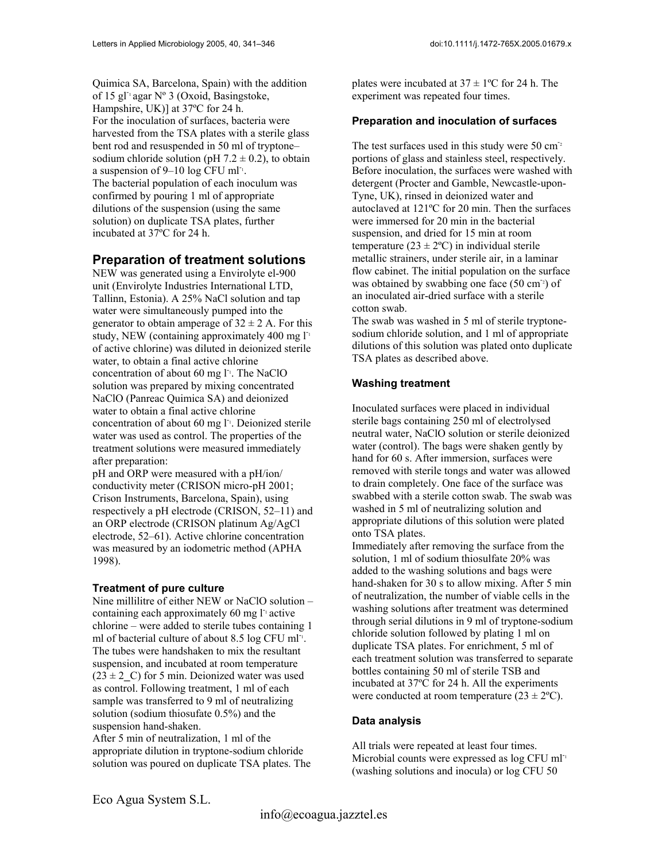Quimica SA, Barcelona, Spain) with the addition of 15 gl<sup>-1</sup> agar N° 3 (Oxoid, Basingstoke, Hampshire, UK)] at 37ºC for 24 h. For the inoculation of surfaces, bacteria were harvested from the TSA plates with a sterile glass bent rod and resuspended in 50 ml of tryptone– sodium chloride solution (pH  $7.2 \pm 0.2$ ), to obtain a suspension of  $9-10$  log CFU ml<sup>-1</sup>. The bacterial population of each inoculum was confirmed by pouring 1 ml of appropriate dilutions of the suspension (using the same solution) on duplicate TSA plates, further incubated at 37ºC for 24 h.

# **Preparation of treatment solutions**

NEW was generated using a Envirolyte el-900 unit (Envirolyte Industries International LTD, Tallinn, Estonia). A 25% NaCl solution and tap water were simultaneously pumped into the generator to obtain amperage of  $32 \pm 2$  A. For this study, NEW (containing approximately 400 mg  $\Gamma$ <sup>1</sup> of active chlorine) was diluted in deionized sterile water, to obtain a final active chlorine concentration of about 60 mg l<sup>-1</sup>. The NaClO solution was prepared by mixing concentrated NaClO (Panreac Quimica SA) and deionized water to obtain a final active chlorine concentration of about 60 mg  $l^{\text{-}1}$ . Deionized sterile water was used as control. The properties of the treatment solutions were measured immediately after preparation:

pH and ORP were measured with a pH/ion/ conductivity meter (CRISON micro-pH 2001; Crison Instruments, Barcelona, Spain), using respectively a pH electrode (CRISON, 52–11) and an ORP electrode (CRISON platinum Ag/AgCl electrode, 52–61). Active chlorine concentration was measured by an iodometric method (APHA 1998).

## **Treatment of pure culture**

Nine millilitre of either NEW or NaClO solution – containing each approximately 60 mg  $l^{\text{-}}$  active chlorine – were added to sterile tubes containing 1 ml of bacterial culture of about 8.5 log CFU ml<sup>-1</sup>. The tubes were handshaken to mix the resultant suspension, and incubated at room temperature  $(23 \pm 2 \, \text{C})$  for 5 min. Deionized water was used as control. Following treatment, 1 ml of each sample was transferred to 9 ml of neutralizing solution (sodium thiosufate 0.5%) and the suspension hand-shaken.

After 5 min of neutralization, 1 ml of the appropriate dilution in tryptone-sodium chloride solution was poured on duplicate TSA plates. The

plates were incubated at  $37 \pm 1$ °C for 24 h. The experiment was repeated four times.

## **Preparation and inoculation of surfaces**

The test surfaces used in this study were  $50 \text{ cm}^2$ portions of glass and stainless steel, respectively. Before inoculation, the surfaces were washed with detergent (Procter and Gamble, Newcastle-upon-Tyne, UK), rinsed in deionized water and autoclaved at 121ºC for 20 min. Then the surfaces were immersed for 20 min in the bacterial suspension, and dried for 15 min at room temperature ( $23 \pm 2$ °C) in individual sterile metallic strainers, under sterile air, in a laminar flow cabinet. The initial population on the surface was obtained by swabbing one face (50 cm<sup>-2</sup>) of an inoculated air-dried surface with a sterile cotton swab.

The swab was washed in 5 ml of sterile tryptonesodium chloride solution, and 1 ml of appropriate dilutions of this solution was plated onto duplicate TSA plates as described above.

## **Washing treatment**

Inoculated surfaces were placed in individual sterile bags containing 250 ml of electrolysed neutral water, NaClO solution or sterile deionized water (control). The bags were shaken gently by hand for 60 s. After immersion, surfaces were removed with sterile tongs and water was allowed to drain completely. One face of the surface was swabbed with a sterile cotton swab. The swab was washed in 5 ml of neutralizing solution and appropriate dilutions of this solution were plated onto TSA plates.

Immediately after removing the surface from the solution, 1 ml of sodium thiosulfate 20% was added to the washing solutions and bags were hand-shaken for 30 s to allow mixing. After 5 min of neutralization, the number of viable cells in the washing solutions after treatment was determined through serial dilutions in 9 ml of tryptone-sodium chloride solution followed by plating 1 ml on duplicate TSA plates. For enrichment, 5 ml of each treatment solution was transferred to separate bottles containing 50 ml of sterile TSB and incubated at 37ºC for 24 h. All the experiments were conducted at room temperature  $(23 \pm 2^{\circ}C)$ .

## **Data analysis**

All trials were repeated at least four times. Microbial counts were expressed as log CFU ml<sup>-1</sup> (washing solutions and inocula) or log CFU 50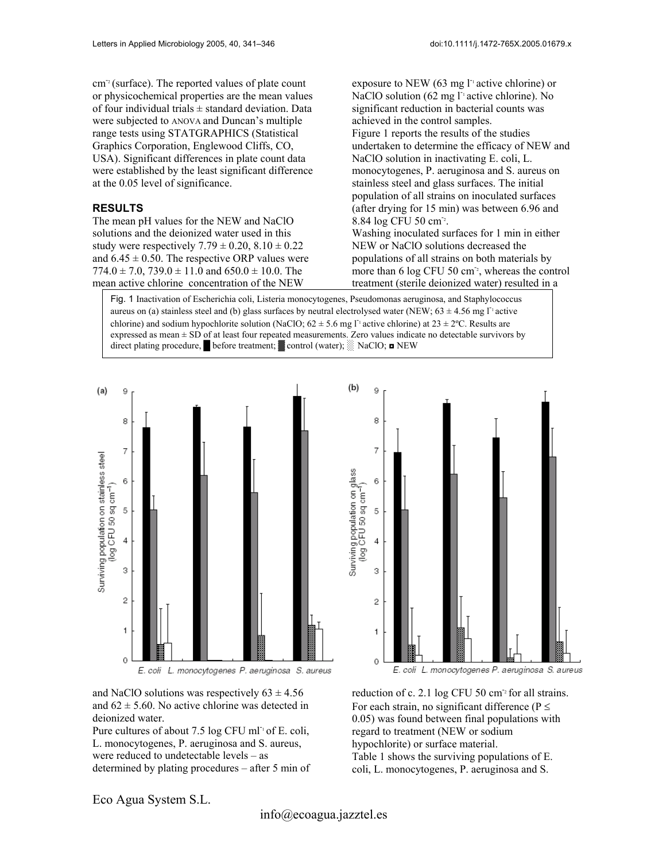$cm<sup>2</sup>$  (surface). The reported values of plate count or physicochemical properties are the mean values of four individual trials  $\pm$  standard deviation. Data were subjected to ANOVA and Duncan's multiple range tests using STATGRAPHICS (Statistical Graphics Corporation, Englewood Cliffs, CO, USA). Significant differences in plate count data were established by the least significant difference at the 0.05 level of significance.

#### **RESULTS**

The mean pH values for the NEW and NaClO solutions and the deionized water used in this study were respectively  $7.79 \pm 0.20$ ,  $8.10 \pm 0.22$ and  $6.45 \pm 0.50$ . The respective ORP values were  $774.0 \pm 7.0$ ,  $739.0 \pm 11.0$  and  $650.0 \pm 10.0$ . The mean active chlorine concentration of the NEW

exposure to NEW (63 mg  $\Gamma$ <sup>1</sup> active chlorine) or NaClO solution (62 mg  $l^{\text{-}}$  active chlorine). No significant reduction in bacterial counts was achieved in the control samples. Figure 1 reports the results of the studies undertaken to determine the efficacy of NEW and NaClO solution in inactivating E. coli, L. monocytogenes, P. aeruginosa and S. aureus on stainless steel and glass surfaces. The initial population of all strains on inoculated surfaces (after drying for 15 min) was between 6.96 and 8.84 log CFU 50 cm<sup>-2</sup>.

Washing inoculated surfaces for 1 min in either NEW or NaClO solutions decreased the populations of all strains on both materials by more than  $6 \log$  CFU 50 cm<sup>-2</sup>, whereas the control treatment (sterile deionized water) resulted in a

Fig. 1 Inactivation of Escherichia coli, Listeria monocytogenes, Pseudomonas aeruginosa, and Staphylococcus aureus on (a) stainless steel and (b) glass surfaces by neutral electrolysed water (NEW;  $63 \pm 4.56$  mg l<sup>-1</sup> active chlorine) and sodium hypochlorite solution (NaClO;  $62 \pm 5.6$  mg l<sup>-1</sup> active chlorine) at  $23 \pm 2$ °C. Results are expressed as mean ± SD of at least four repeated measurements. Zero values indicate no detectable survivors by direct plating procedure, █ before treatment; ▓ control (water); ░ NaClO; ◘ NEW



and NaClO solutions was respectively  $63 \pm 4.56$ and  $62 \pm 5.60$ . No active chlorine was detected in deionized water.

Pure cultures of about 7.5 log CFU ml<sup>-1</sup> of E. coli, L. monocytogenes, P. aeruginosa and S. aureus, were reduced to undetectable levels – as determined by plating procedures – after 5 min of

 $(b)$ 9 8  $\overline{7}$ Surviving population on glass<br>(log CFU 50 sq cm<sup>-1</sup>) 6 5  $\overline{4}$ 3  $\overline{c}$ 1  $\overline{0}$ 

E. coli L. monocytogenes P. aeruginosa S. aureus

reduction of c. 2.1 log CFU 50 cm<sup>-2</sup> for all strains. For each strain, no significant difference ( $P \le$ 0.05) was found between final populations with regard to treatment (NEW or sodium hypochlorite) or surface material. Table 1 shows the surviving populations of E. coli, L. monocytogenes, P. aeruginosa and S.

Eco Agua System S.L.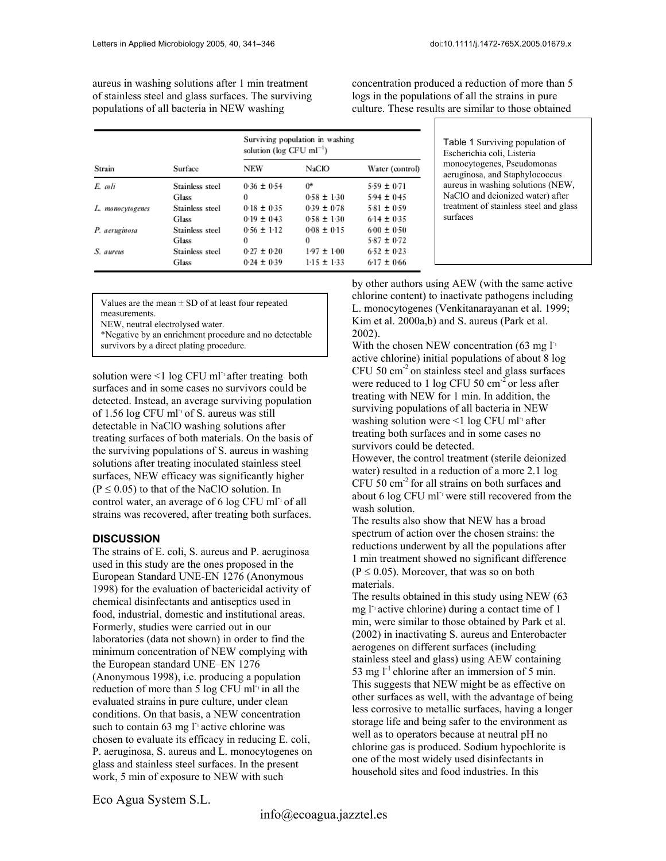aureus in washing solutions after 1 min treatment of stainless steel and glass surfaces. The surviving populations of all bacteria in NEW washing

concentration produced a reduction of more than 5 logs in the populations of all the strains in pure culture. These results are similar to those obtained

| Strain           | Surface         | Surviving population in washing<br>solution ( $log$ CFU ml <sup>-1</sup> ) |                 |                 |
|------------------|-----------------|----------------------------------------------------------------------------|-----------------|-----------------|
|                  |                 | NEW                                                                        | <b>NaCIO</b>    | Water (control) |
| E. coli          | Stainless steel | $0.36 \pm 0.54$                                                            | 0*              | $5.59 \pm 0.71$ |
|                  | Glass           | 0                                                                          | $0.58 \pm 1.30$ | $594 \pm 0.45$  |
| L. monocytogenes | Stainless steel | $0.18 \pm 0.35$                                                            | $0.39 \pm 0.78$ | $5-81 \pm 0.59$ |
|                  | Glass           | $0.19 \pm 0.43$                                                            | $0.58 \pm 1.30$ | $6.14 \pm 0.35$ |
| P. aeruginosa    | Stainless steel | $0.56 \pm 1.12$                                                            | $0.08 \pm 0.15$ | $600 \pm 0.50$  |
|                  | Glass           | 0                                                                          | 0               | $5.87 \pm 0.72$ |
| S. aureus        | Stainless steel | $0.27 \pm 0.20$                                                            | $1.97 \pm 1.00$ | $6-52 \pm 0.23$ |
|                  | Glass           | $0.24 \pm 0.39$                                                            | $1-15 \pm 1-33$ | $6-17 \pm 0.66$ |

Table 1 Surviving population of Escherichia coli, Listeria monocytogenes, Pseudomonas aeruginosa, and Staphylococcus aureus in washing solutions (NEW, NaClO and deionized water) after treatment of stainless steel and glass surfaces

measurements.

NEW, neutral electrolysed water.

\*Negative by an enrichment procedure and no detectable survivors by a direct plating procedure.

solution were  $\leq 1$  log CFU ml<sup>-1</sup> after treating both surfaces and in some cases no survivors could be detected. Instead, an average surviving population of 1.56 log CFU ml<sup>-1</sup> of S. aureus was still detectable in NaClO washing solutions after treating surfaces of both materials. On the basis of the surviving populations of S. aureus in washing solutions after treating inoculated stainless steel surfaces, NEW efficacy was significantly higher  $(P \le 0.05)$  to that of the NaClO solution. In control water, an average of 6 log CFU ml<sup>-1</sup> of all strains was recovered, after treating both surfaces.

#### **DISCUSSION**

The strains of E. coli, S. aureus and P. aeruginosa used in this study are the ones proposed in the European Standard UNE-EN 1276 (Anonymous 1998) for the evaluation of bactericidal activity of chemical disinfectants and antiseptics used in food, industrial, domestic and institutional areas. Formerly, studies were carried out in our laboratories (data not shown) in order to find the minimum concentration of NEW complying with the European standard UNE–EN 1276 (Anonymous 1998), i.e. producing a population reduction of more than  $\frac{1}{5}$  log CFU ml<sup>-1</sup> in all the evaluated strains in pure culture, under clean conditions. On that basis, a NEW concentration such to contain 63 mg  $\Gamma$ <sup>1</sup> active chlorine was chosen to evaluate its efficacy in reducing E. coli, P. aeruginosa, S. aureus and L. monocytogenes on glass and stainless steel surfaces. In the present work, 5 min of exposure to NEW with such

by other authors using AEW (with the sam e active Values are the mean  $\pm$  SD of at least four repeated children content) to inactivate pathogens including Values are the mean  $\pm$  SD of at least four repeated  $\frac{1}{2}$ L. monocytogenes (Venkitanarayanan et al. 1999; Kim et al. 2000a,b) and S. aureus (Park et al. 2002).

With the chosen NEW concentration (63 mg  $l^{\text{-}}$ active chlorine) initial populations of about 8 log CFU 50 cm-2 on stainless steel and glass surfaces were reduced to 1 log CFU 50  $\text{cm}^{-2}$  or less after treating with NEW for 1 min. In addition, the surviving populations of all bacteria in NEW washing solution were  $\leq 1$  log CFU ml<sup>-1</sup> after treating both surfaces and in some cases no survivors could be detected.

However, the control treatment (sterile deionized water) resulted in a reduction of a more 2.1 log CFU 50 cm-2 for all strains on both surfaces and about 6 log CFU ml<sup>-1</sup> were still recovered from the wash solution.

The results also show that NEW has a broad spectrum of action over the chosen strains: the reductions underwent by all the populations after 1 min treatment showed no significant difference  $(P \le 0.05)$ . Moreover, that was so on both materials.

The results obtained in this study using NEW (63 mg l<sup>-1</sup> active chlorine) during a contact time of 1 min, were similar to those obtained by Park et al. (2002) in inactivating S. aureus and Enterobacter aerogenes on different surfaces (including stainless steel and glass) using AEW containing 53 mg  $l^{-1}$  chlorine after an immersion of 5 min. This suggests that NEW might be as effective on other surfaces as well, with the advantage of being less corrosive to metallic surfaces, having a longer storage life and being safer to the environment as well as to operators because at neutral pH no chlorine gas is produced. Sodium hypochlorite is one of the most widely used disinfectants in household sites and food industries. In this

Eco Agua System S.L.